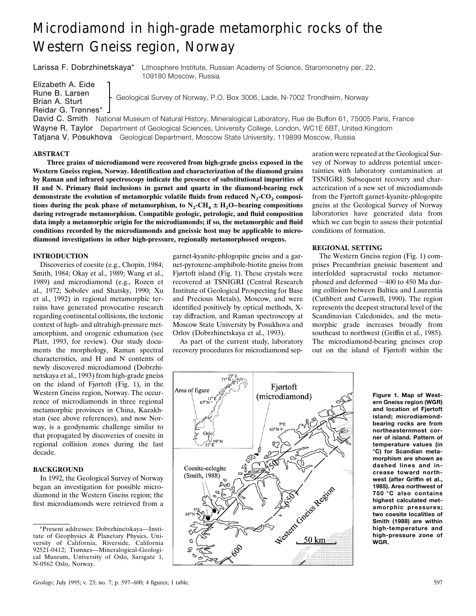# Microdiamond in high-grade metamorphic rocks of the Western Gneiss region, Norway

Larissa F. Dobrzhinetskaya\* Lithosphere Institute, Russian Academy of Science, Staromonetny per. 22, 109180 Moscow, Russia

Elizabeth A. Eide Brian A. Sturt Reidar G. Trønnes\*

Rune B. Larsen<br>
Geological Survey of Norway, P.O. Box 3006, Lade, N-7002 Trondheim, Norway

David C. Smith National Museum of Natural History, Mineralogical Laboratory, Rue de Buffon 61, 75005 Paris, France Wayne R. Taylor Department of Geological Sciences, University College, London, WC1E 6BT, United Kingdom Tatjana V. Posukhova Geological Department, Moscow State University, 119899 Moscow, Russia

## **ABSTRACT**

**Three grains of microdiamond were recovered from high-grade gneiss exposed in the Western Gneiss region, Norway. Identification and characterization of the diamond grains by Raman and infrared spectroscopy indicate the presence of substitutional impurities of H and N. Primary fluid inclusions in garnet and quartz in the diamond-bearing rock** demonstrate the evolution of metamorphic volatile fluids from reduced  $N_2$ - $CO_2$  compositions during the peak phase of metamorphism, to  $N_2$ -CH<sub>4</sub>  $\pm$  H<sub>2</sub>O–bearing compositions **during retrograde metamorphism. Compatible geologic, petrologic, and fluid composition data imply a metamorphic origin for the microdiamonds; if so, the metamorphic and fluid conditions recorded by the microdiamonds and gneissic host may be applicable to microdiamond investigations in other high-pressure, regionally metamorphosed orogens.**

## **INTRODUCTION**

Discoveries of coesite (e.g., Chopin, 1984; Smith, 1984; Okay et al., 1989; Wang et al., 1989) and microdiamond (e.g., Rozen et al., 1972; Sobolev and Shatsky, 1990; Xu et al., 1992) in regional metamorphic terrains have generated provocative research regarding continental collisions, the tectonic context of high- and ultrahigh-pressure metamorphism, and orogenic exhumation (see Platt, 1993, for review). Our study documents the morphology, Raman spectral characteristics, and H and N contents of newly discovered microdiamond (Dobrzhinetskaya et al., 1993) from high-grade gneiss on the island of Fjørtoft (Fig. 1), in the Western Gneiss region, Norway. The occurrence of microdiamonds in three regional metamorphic provinces in China, Kazakhstan (see above references), and now Norway, is a geodynamic challenge similar to that propagated by discoveries of coesite in regional collision zones during the last decade.

# **BACKGROUND**

In 1992, the Geological Survey of Norway began an investigation for possible microdiamond in the Western Gneiss region; the first microdiamonds were retrieved from a garnet-kyanite-phlogopite gneiss and a garnet-pyroxene-amphibole-biotite gneiss from Fjørtoft island (Fig. 1). These crystals were recovered at TSNIGRI (Central Research Institute of Geological Prospecting for Base and Precious Metals), Moscow, and were identified positively by optical methods, Xray diffraction, and Raman spectroscopy at Moscow State University by Posukhova and Orlov (Dobrzhinetskaya et al., 1993).

As part of the current study, laboratory recovery procedures for microdiamond sep-

aration were repeated at the Geological Survey of Norway to address potential uncertainties with laboratory contamination at TSNIGRI. Subsequent recovery and characterization of a new set of microdiamonds from the Fjørtoft garnet-kyanite-phlogopite gneiss at the Geological Survey of Norway laboratories have generated data from which we can begin to assess their potential conditions of formation.

## **REGIONAL SETTING**

The Western Gneiss region (Fig. 1) comprises Precambrian gneissic basement and interfolded supracrustal rocks metamorphosed and deformed  $\sim$ 400 to 450 Ma during collision between Baltica and Laurentia (Cuthbert and Carswell, 1990). The region represents the deepest structural level of the Scandinavian Caledonides, and the metamorphic grade increases broadly from southeast to northwest (Griffin et al., 1985). The microdiamond-bearing gneisses crop out on the island of Fjørtoft within the



**Figure 1. Map of Western Gneiss region (WGR) and location of Fjørtoft island; microdiamondbearing rocks are from northeasternmost corner of island. Pattern of temperature values (in °C) for Scandian metamorphism are shown as dashed lines and increase toward northwest (after Griffin et al., 1985). Area northwest of 750 °C also contains highest calculated metamorphic pressures; two coesite localities of Smith (1988) are within high-temperature and high-pressure zone of WGR.**

<sup>\*</sup>Present addresses: Dobrzhinetskaya—Institute of Geophysics & Planetary Physics, University of California, Riverside, California 92521-0412; Trønnes—Mineralogical-Geological Museum, University of Oslo, Sarsgate 1, N-0562 Oslo, Norway.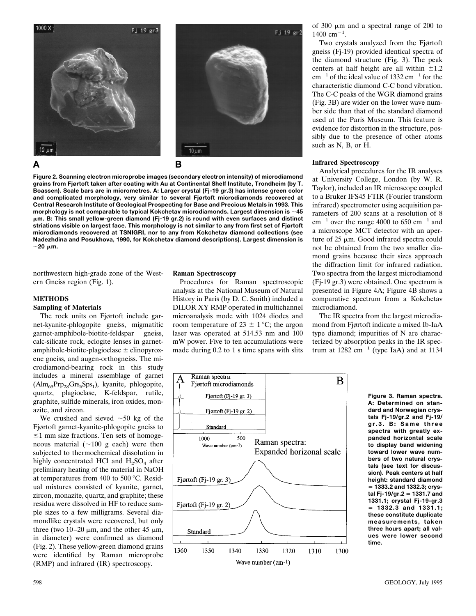

**Figure 2. Scanning electron microprobe images (secondary electron intensity) of microdiamond grains from Fjørtoft taken after coating with Au at Continental Shelf Institute, Trondheim (by T. Boassen). Scale bars are in micrometres. A: Larger crystal (Fj-19 gr.3) has intense green color and complicated morphology, very similar to several Fjørtoft microdiamonds recovered at Central Research Institute of Geological Prospecting for Base and Precious Metals in 1993. This morphology is not comparable to typical Kokchetav microdiamonds. Largest dimension is** ;**45** m**m. B: This small yellow-green diamond (Fj-19 gr.2) is round with even surfaces and distinct striations visible on largest face. This morphology is not similar to any from first set of Fjørtoft microdiamonds recovered at TSNIGRI, nor to any from Kokchetav diamond collections (see Nadezhdina and Posukhova, 1990, for Kokchetav diamond descriptions). Largest dimension is**  $\sim$ **20**  $\mu$ m.

northwestern high-grade zone of the Western Gneiss region (Fig. 1).

## **METHODS**

#### **Sampling of Materials**

The rock units on Fjørtoft include garnet-kyanite-phlogopite gneiss, migmatitic garnet-amphibole-biotite-feldspar gneiss, calc-silicate rock, eclogite lenses in garnetamphibole-biotite-plagioclase  $\pm$  clinopyroxene gneiss, and augen-orthogneiss. The microdiamond-bearing rock in this study includes a mineral assemblage of garnet  $(Alm_{65}Prp_{28}Grs_6Sps_1)$ , kyanite, phlogopite, quartz, plagioclase, K-feldspar, rutile, graphite, sulfide minerals, iron oxides, monazite, and zircon.

We crushed and sieved  $\sim 50$  kg of the Fjørtoft garnet-kyanite-phlogopite gneiss to  $\leq$ 1 mm size fractions. Ten sets of homogeneous material  $(\sim 100 \text{ g each})$  were then subjected to thermochemical dissolution in highly concentrated HCl and  $H_2SO_4$  after preliminary heating of the material in NaOH at temperatures from 400 to 500  $^{\circ}$ C. Residual mixtures consisted of kyanite, garnet, zircon, monazite, quartz, and graphite; these residua were dissolved in HF to reduce sample sizes to a few milligrams. Several diamondlike crystals were recovered, but only three (two 10–20  $\mu$ m, and the other 45  $\mu$ m, in diameter) were confirmed as diamond (Fig. 2). These yellow-green diamond grains were identified by Raman microprobe (RMP) and infrared (IR) spectroscopy.

#### **Raman Spectroscopy**

Procedures for Raman spectroscopic analysis at the National Museum of Natural History in Paris (by D. C. Smith) included a DILOR XY RMP operated in multichannel microanalysis mode with 1024 diodes and room temperature of  $23 \pm 1$  °C; the argon laser was operated at 514.53 nm and 100 mW power. Five to ten accumulations were made during 0.2 to 1 s time spans with slits



Two crystals analyzed from the Fjørtoft gneiss (Fj-19) provided identical spectra of the diamond structure (Fig. 3). The peak centers at half height are all within  $\pm 1.2$  $cm^{-1}$  of the ideal value of 1332  $cm^{-1}$  for the characteristic diamond C-C bond vibration. The C-C peaks of the WGR diamond grains (Fig. 3B) are wider on the lower wave number side than that of the standard diamond used at the Paris Museum. This feature is evidence for distortion in the structure, possibly due to the presence of other atoms such as N, B, or H.

#### **Infrared Spectroscopy**

Fj 19 gr2

Analytical procedures for the IR analyses at University College, London (by W. R. Taylor), included an IR microscope coupled to a Bruker IFS45 FTIR (Fourier transform infrared) spectrometer using acquisition parameters of 200 scans at a resolution of 8  $cm^{-1}$  over the range 4000 to 650  $cm^{-1}$  and a microscope MCT detector with an aperture of  $25 \mu m$ . Good infrared spectra could not be obtained from the two smaller diamond grains because their sizes approach the diffraction limit for infrared radiation. Two spectra from the largest microdiamond (Fj-19 gr.3) were obtained. One spectrum is presented in Figure 4A; Figure 4B shows a comparative spectrum from a Kokchetav microdiamond.

The IR spectra from the largest microdiamond from Fjørtoft indicate a mixed Ib-IaA type diamond; impurities of N are characterized by absorption peaks in the IR spectrum at  $1282 \text{ cm}^{-1}$  (type IaA) and at 1134



**Figure 3. Raman spectra. A: Determined on standard and Norwegian crystals Fj-19/gr.2 and Fj-19/ gr.3. B: Same three spectra with greatly expanded horizontal scale to display band widening toward lower wave numbers of two natural crystals (see text for discussion). Peak centers at half height: standard diamond** 5 **1333.2 and 1332.3; crystal Fj-19/gr.2** 5 **1331.7 and 1331.1; crystal Fj-19-gr.3**  $= 1332.3$  and  $1331.1$ ; **these constitute duplicate measurements, taken three hours apart; all values were lower second time.**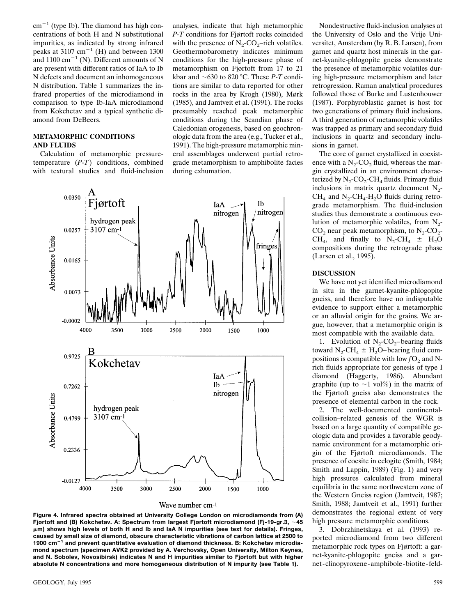$cm^{-1}$  (type Ib). The diamond has high concentrations of both H and N substitutional impurities, as indicated by strong infrared peaks at 3107 cm<sup>-1</sup> (H) and between 1300 and  $1100 \text{ cm}^{-1}$  (N). Different amounts of N are present with different ratios of IaA to Ib N defects and document an inhomogeneous N distribution. Table 1 summarizes the infrared properties of the microdiamond in comparison to type Ib-IaA microdiamond from Kokchetav and a typical synthetic diamond from DeBeers.

## **METAMORPHIC CONDITIONS AND FLUIDS**

Calculation of metamorphic pressuretemperature (*P*-*T*) conditions, combined with textural studies and fluid-inclusion

analyses, indicate that high metamorphic *P*-*T* conditions for Fjørtoft rocks coincided with the presence of  $N_2$ -CO<sub>2</sub>–rich volatiles. Geothermobarometry indicates minimum conditions for the high-pressure phase of metamorphism on Fjørtoft from 17 to 21 kbar and  $\sim$  630 to 820 °C. These *P*-*T* conditions are similar to data reported for other rocks in the area by Krogh (1980), Mørk (1985), and Jamtveit et al. (1991). The rocks presumably reached peak metamorphic conditions during the Scandian phase of Caledonian orogenesis, based on geochronologic data from the area (e.g., Tucker et al., 1991). The high-pressure metamorphic mineral assemblages underwent partial retrograde metamorphism to amphibolite facies during exhumation.



**Figure 4. Infrared spectra obtained at University College London on microdiamonds from (A) Fjørtoft and (B) Kokchetav. A: Spectrum from largest Fjørtoft microdiamond (Fj-19-gr.3,** ;**45** m**m) shows high levels of both H and Ib and IaA N impurities (see text for details). Fringes, caused by small size of diamond, obscure characteristic vibrations of carbon lattice at 2500 to** 1900 cm<sup>-1</sup> and prevent quantitative evaluation of diamond thickness. B: Kokchetav microdia**mond spectrum (specimen AVK2 provided by A. Verchovsky, Open University, Milton Keynes, and N. Sobolev, Novosibirsk) indicates N and H impurities similar to Fjørtoft but with higher absolute N concentrations and more homogeneous distribution of N impurity (see Table 1).**

Nondestructive fluid-inclusion analyses at the University of Oslo and the Vrije Universitet, Amsterdam (by R. B. Larsen), from garnet and quartz host minerals in the garnet-kyanite-phlogopite gneiss demonstrate the presence of metamorphic volatiles during high-pressure metamorphism and later retrogression. Raman analytical procedures followed those of Burke and Lustenhouwer (1987). Porphyroblastic garnet is host for two generations of primary fluid inclusions. A third generation of metamorphic volatiles was trapped as primary and secondary fluid inclusions in quartz and secondary inclusions in garnet.

The core of garnet crystallized in coexistence with a  $N_2$ -CO<sub>2</sub> fluid, whereas the margin crystallized in an environment characterized by  $N_2$ -CO<sub>2</sub>-CH<sub>4</sub> fluids. Primary fluid inclusions in matrix quartz document  $N_2$ - $CH<sub>4</sub>$  and N<sub>2</sub>-CH<sub>4</sub>-H<sub>2</sub>O fluids during retrograde metamorphism. The fluid-inclusion studies thus demonstrate a continuous evolution of metamorphic volatiles, from  $N_2$ - $CO<sub>2</sub>$  near peak metamorphism, to  $N<sub>2</sub>$ -CO<sub>2</sub>- $CH_4$ , and finally to  $N_2$ -CH<sub>4</sub>  $\pm$  H<sub>2</sub>O compositions during the retrograde phase (Larsen et al., 1995).

# **DISCUSSION**

We have not yet identified microdiamond in situ in the garnet-kyanite-phlogopite gneiss, and therefore have no indisputable evidence to support either a metamorphic or an alluvial origin for the grains. We argue, however, that a metamorphic origin is most compatible with the available data.

1. Evolution of  $N_2$ -CO<sub>2</sub>-bearing fluids toward  $N_2$ -CH<sub>4</sub>  $\pm$  H<sub>2</sub>O–bearing fluid compositions is compatible with low  $fO<sub>2</sub>$  and Nrich fluids appropriate for genesis of type I diamond (Haggerty, 1986). Abundant graphite (up to  $\sim$ 1 vol%) in the matrix of the Fjørtoft gneiss also demonstrates the presence of elemental carbon in the rock.

2. The well-documented continentalcollision–related genesis of the WGR is based on a large quantity of compatible geologic data and provides a favorable geodynamic environment for a metamorphic origin of the Fjørtoft microdiamonds. The presence of coesite in eclogite (Smith, 1984; Smith and Lappin, 1989) (Fig. 1) and very high pressures calculated from mineral equilibria in the same northwestern zone of the Western Gneiss region (Jamtveit, 1987; Smith, 1988; Jamtveit et al., 1991) further demonstrates the regional extent of very high pressure metamorphic conditions.

3. Dobrzhinetskaya et al. (1993) reported microdiamond from two different metamorphic rock types on Fjørtoft: a garnet-kyanite-phlogopite gneiss and a garnet -clinopyroxene -amphibole -biotite - feld-